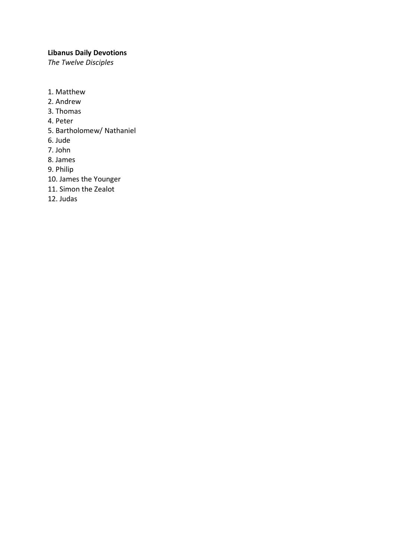# **Libanus Daily Devotions**

*The Twelve Disciples* 

- 1. Matthew
- 2. Andrew
- 3. Thomas
- 4. Peter
- 5. Bartholomew/ Nathaniel
- 6. Jude
- 7. John
- 8. James
- 9. Philip
- 10. James the Younger
- 11. Simon the Zealot
- 12. Judas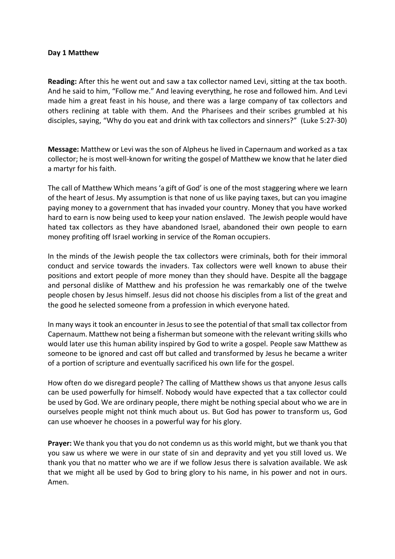#### **Day 1 Matthew**

**Reading:** After this he went out and saw a tax collector named Levi, sitting at the tax booth. And he said to him, "Follow me." And leaving everything, he rose and followed him. And Levi made him a great feast in his house, and there was a large company of tax collectors and others reclining at table with them. And the Pharisees and their scribes grumbled at his disciples, saying, "Why do you eat and drink with tax collectors and sinners?" (Luke 5:27-30)

**Message:** Matthew or Levi was the son of Alpheus he lived in Capernaum and worked as a tax collector; he is most well-known for writing the gospel of Matthew we know that he later died a martyr for his faith.

The call of Matthew Which means 'a gift of God' is one of the most staggering where we learn of the heart of Jesus. My assumption is that none of us like paying taxes, but can you imagine paying money to a government that has invaded your country. Money that you have worked hard to earn is now being used to keep your nation enslaved. The Jewish people would have hated tax collectors as they have abandoned Israel, abandoned their own people to earn money profiting off Israel working in service of the Roman occupiers.

In the minds of the Jewish people the tax collectors were criminals, both for their immoral conduct and service towards the invaders. Tax collectors were well known to abuse their positions and extort people of more money than they should have. Despite all the baggage and personal dislike of Matthew and his profession he was remarkably one of the twelve people chosen by Jesus himself. Jesus did not choose his disciples from a list of the great and the good he selected someone from a profession in which everyone hated.

In many ways it took an encounter in Jesus to see the potential of that small tax collector from Capernaum. Matthew not being a fisherman but someone with the relevant writing skills who would later use this human ability inspired by God to write a gospel. People saw Matthew as someone to be ignored and cast off but called and transformed by Jesus he became a writer of a portion of scripture and eventually sacrificed his own life for the gospel.

How often do we disregard people? The calling of Matthew shows us that anyone Jesus calls can be used powerfully for himself. Nobody would have expected that a tax collector could be used by God. We are ordinary people, there might be nothing special about who we are in ourselves people might not think much about us. But God has power to transform us, God can use whoever he chooses in a powerful way for his glory.

**Prayer:** We thank you that you do not condemn us as this world might, but we thank you that you saw us where we were in our state of sin and depravity and yet you still loved us. We thank you that no matter who we are if we follow Jesus there is salvation available. We ask that we might all be used by God to bring glory to his name, in his power and not in ours. Amen.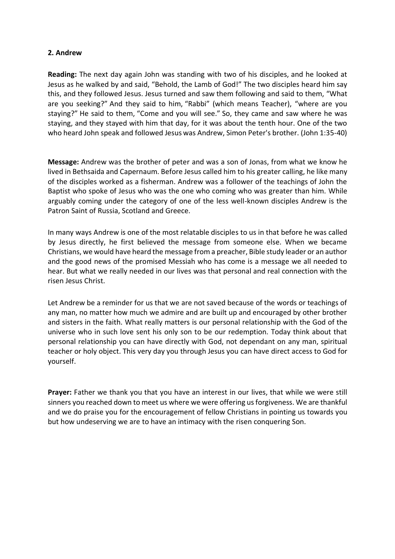# **2. Andrew**

**Reading:** The next day again John was standing with two of his disciples, and he looked at Jesus as he walked by and said, "Behold, the Lamb of God!" The two disciples heard him say this, and they followed Jesus. Jesus turned and saw them following and said to them, "What are you seeking?" And they said to him, "Rabbi" (which means Teacher), "where are you staying?" He said to them, "Come and you will see." So, they came and saw where he was staying, and they stayed with him that day, for it was about the tenth hour. One of the two who heard John speak and followed Jesus was Andrew, Simon Peter's brother. (John 1:35-40)

**Message:** Andrew was the brother of peter and was a son of Jonas, from what we know he lived in Bethsaida and Capernaum. Before Jesus called him to his greater calling, he like many of the disciples worked as a fisherman. Andrew was a follower of the teachings of John the Baptist who spoke of Jesus who was the one who coming who was greater than him. While arguably coming under the category of one of the less well-known disciples Andrew is the Patron Saint of Russia, Scotland and Greece.

In many ways Andrew is one of the most relatable disciples to us in that before he was called by Jesus directly, he first believed the message from someone else. When we became Christians, we would have heard the message from a preacher, Bible study leader or an author and the good news of the promised Messiah who has come is a message we all needed to hear. But what we really needed in our lives was that personal and real connection with the risen Jesus Christ.

Let Andrew be a reminder for us that we are not saved because of the words or teachings of any man, no matter how much we admire and are built up and encouraged by other brother and sisters in the faith. What really matters is our personal relationship with the God of the universe who in such love sent his only son to be our redemption. Today think about that personal relationship you can have directly with God, not dependant on any man, spiritual teacher or holy object. This very day you through Jesus you can have direct access to God for yourself.

**Prayer:** Father we thank you that you have an interest in our lives, that while we were still sinners you reached down to meet us where we were offering us forgiveness. We are thankful and we do praise you for the encouragement of fellow Christians in pointing us towards you but how undeserving we are to have an intimacy with the risen conquering Son.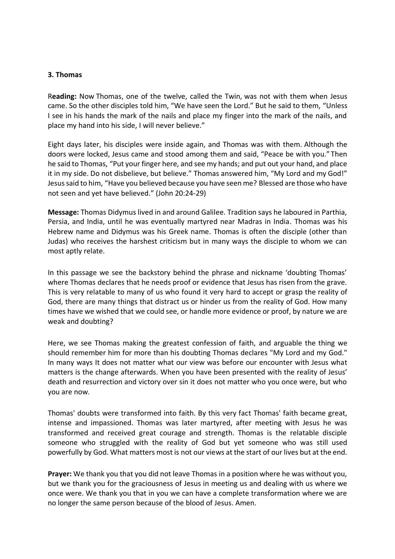### **3. Thomas**

R**eading:** Now Thomas, one of the twelve, called the Twin, was not with them when Jesus came. So the other disciples told him, "We have seen the Lord." But he said to them, "Unless I see in his hands the mark of the nails and place my finger into the mark of the nails, and place my hand into his side, I will never believe."

Eight days later, his disciples were inside again, and Thomas was with them. Although the doors were locked, Jesus came and stood among them and said, "Peace be with you." Then he said to Thomas, "Put your finger here, and see my hands; and put out your hand, and place it in my side. Do not disbelieve, but believe." Thomas answered him, "My Lord and my God!" Jesus said to him, "Have you believed because you have seen me? Blessed are those who have not seen and yet have believed." (John 20:24-29)

**Message:** Thomas Didymus lived in and around Galilee. Tradition says he laboured in Parthia, Persia, and India, until he was eventually martyred near Madras in India. Thomas was his Hebrew name and Didymus was his Greek name. Thomas is often the disciple (other than Judas) who receives the harshest criticism but in many ways the disciple to whom we can most aptly relate.

In this passage we see the backstory behind the phrase and nickname 'doubting Thomas' where Thomas declares that he needs proof or evidence that Jesus has risen from the grave. This is very relatable to many of us who found it very hard to accept or grasp the reality of God, there are many things that distract us or hinder us from the reality of God. How many times have we wished that we could see, or handle more evidence or proof, by nature we are weak and doubting?

Here, we see Thomas making the greatest confession of faith, and arguable the thing we should remember him for more than his doubting Thomas declares "My Lord and my God." In many ways It does not matter what our view was before our encounter with Jesus what matters is the change afterwards. When you have been presented with the reality of Jesus' death and resurrection and victory over sin it does not matter who you once were, but who you are now.

Thomas' doubts were transformed into faith. By this very fact Thomas' faith became great, intense and impassioned. Thomas was later martyred, after meeting with Jesus he was transformed and received great courage and strength. Thomas is the relatable disciple someone who struggled with the reality of God but yet someone who was still used powerfully by God. What matters most is not our views at the start of our lives but at the end.

**Prayer:** We thank you that you did not leave Thomas in a position where he was without you, but we thank you for the graciousness of Jesus in meeting us and dealing with us where we once were. We thank you that in you we can have a complete transformation where we are no longer the same person because of the blood of Jesus. Amen.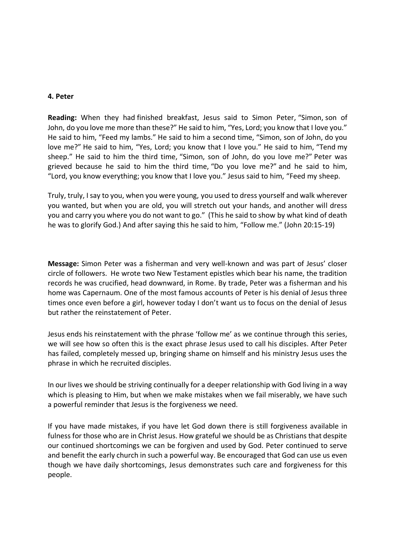#### **4. Peter**

**Reading:** When they had finished breakfast, Jesus said to Simon Peter, "Simon, son of John, do you love me more than these?" He said to him, "Yes, Lord; you know that I love you." He said to him, "Feed my lambs." He said to him a second time, "Simon, son of John, do you love me?" He said to him, "Yes, Lord; you know that I love you." He said to him, "Tend my sheep." He said to him the third time, "Simon, son of John, do you love me?" Peter was grieved because he said to him the third time, "Do you love me?" and he said to him, "Lord, you know everything; you know that I love you." Jesus said to him, "Feed my sheep.

Truly, truly, I say to you, when you were young, you used to dress yourself and walk wherever you wanted, but when you are old, you will stretch out your hands, and another will dress you and carry you where you do not want to go." (This he said to show by what kind of death he was to glorify God.) And after saying this he said to him, "Follow me." (John 20:15-19)

**Message:** Simon Peter was a fisherman and very well-known and was part of Jesus' closer circle of followers. He wrote two New Testament epistles which bear his name, the tradition records he was crucified, head downward, in Rome. By trade, Peter was a fisherman and his home was Capernaum. One of the most famous accounts of Peter is his denial of Jesus three times once even before a girl, however today I don't want us to focus on the denial of Jesus but rather the reinstatement of Peter.

Jesus ends his reinstatement with the phrase 'follow me' as we continue through this series, we will see how so often this is the exact phrase Jesus used to call his disciples. After Peter has failed, completely messed up, bringing shame on himself and his ministry Jesus uses the phrase in which he recruited disciples.

In our lives we should be striving continually for a deeper relationship with God living in a way which is pleasing to Him, but when we make mistakes when we fail miserably, we have such a powerful reminder that Jesus is the forgiveness we need.

If you have made mistakes, if you have let God down there is still forgiveness available in fulness for those who are in Christ Jesus. How grateful we should be as Christians that despite our continued shortcomings we can be forgiven and used by God. Peter continued to serve and benefit the early church in such a powerful way. Be encouraged that God can use us even though we have daily shortcomings, Jesus demonstrates such care and forgiveness for this people.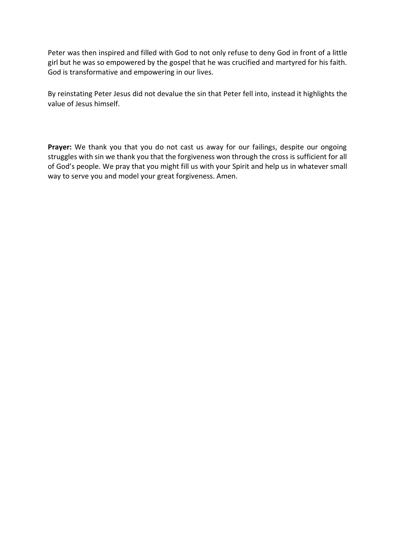Peter was then inspired and filled with God to not only refuse to deny God in front of a little girl but he was so empowered by the gospel that he was crucified and martyred for his faith. God is transformative and empowering in our lives.

By reinstating Peter Jesus did not devalue the sin that Peter fell into, instead it highlights the value of Jesus himself.

**Prayer:** We thank you that you do not cast us away for our failings, despite our ongoing struggles with sin we thank you that the forgiveness won through the cross is sufficient for all of God's people. We pray that you might fill us with your Spirit and help us in whatever small way to serve you and model your great forgiveness. Amen.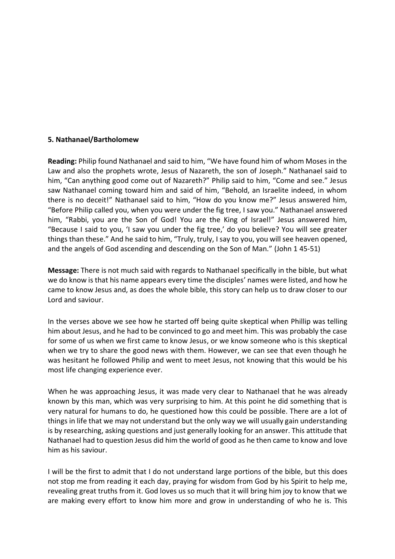### **5. Nathanael/Bartholomew**

**Reading:** Philip found Nathanael and said to him, "We have found him of whom Moses in the Law and also the prophets wrote, Jesus of Nazareth, the son of Joseph." Nathanael said to him, "Can anything good come out of Nazareth?" Philip said to him, "Come and see." Jesus saw Nathanael coming toward him and said of him, "Behold, an Israelite indeed, in whom there is no deceit!" Nathanael said to him, "How do you know me?" Jesus answered him, "Before Philip called you, when you were under the fig tree, I saw you." Nathanael answered him, "Rabbi, you are the Son of God! You are the King of Israel!" Jesus answered him, "Because I said to you, 'I saw you under the fig tree,' do you believe? You will see greater things than these." And he said to him, "Truly, truly, I say to you, you will see heaven opened, and the angels of God ascending and descending on the Son of Man." (John 1 45-51)

**Message:** There is not much said with regards to Nathanael specifically in the bible, but what we do know is that his name appears every time the disciples' names were listed, and how he came to know Jesus and, as does the whole bible, this story can help us to draw closer to our Lord and saviour.

In the verses above we see how he started off being quite skeptical when Phillip was telling him about Jesus, and he had to be convinced to go and meet him. This was probably the case for some of us when we first came to know Jesus, or we know someone who is this skeptical when we try to share the good news with them. However, we can see that even though he was hesitant he followed Philip and went to meet Jesus, not knowing that this would be his most life changing experience ever.

When he was approaching Jesus, it was made very clear to Nathanael that he was already known by this man, which was very surprising to him. At this point he did something that is very natural for humans to do, he questioned how this could be possible. There are a lot of things in life that we may not understand but the only way we will usually gain understanding is by researching, asking questions and just generally looking for an answer. This attitude that Nathanael had to question Jesus did him the world of good as he then came to know and love him as his saviour.

I will be the first to admit that I do not understand large portions of the bible, but this does not stop me from reading it each day, praying for wisdom from God by his Spirit to help me, revealing great truths from it. God loves us so much that it will bring him joy to know that we are making every effort to know him more and grow in understanding of who he is. This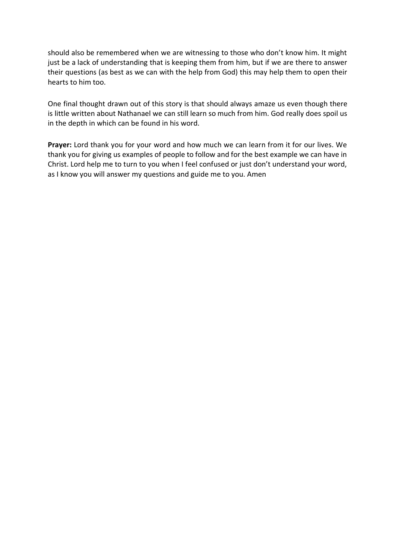should also be remembered when we are witnessing to those who don't know him. It might just be a lack of understanding that is keeping them from him, but if we are there to answer their questions (as best as we can with the help from God) this may help them to open their hearts to him too.

One final thought drawn out of this story is that should always amaze us even though there is little written about Nathanael we can still learn so much from him. God really does spoil us in the depth in which can be found in his word.

**Prayer:** Lord thank you for your word and how much we can learn from it for our lives. We thank you for giving us examples of people to follow and for the best example we can have in Christ. Lord help me to turn to you when I feel confused or just don't understand your word, as I know you will answer my questions and guide me to you. Amen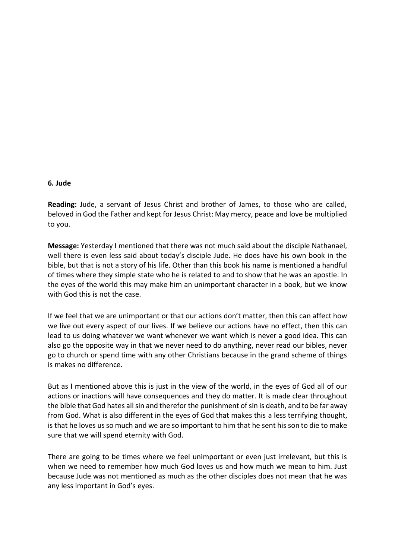#### **6. Jude**

**Reading:** Jude, a servant of Jesus Christ and brother of James, to those who are called, beloved in God the Father and kept for Jesus Christ: May mercy, peace and love be multiplied to you.

**Message:** Yesterday I mentioned that there was not much said about the disciple Nathanael, well there is even less said about today's disciple Jude. He does have his own book in the bible, but that is not a story of his life. Other than this book his name is mentioned a handful of times where they simple state who he is related to and to show that he was an apostle. In the eyes of the world this may make him an unimportant character in a book, but we know with God this is not the case.

If we feel that we are unimportant or that our actions don't matter, then this can affect how we live out every aspect of our lives. If we believe our actions have no effect, then this can lead to us doing whatever we want whenever we want which is never a good idea. This can also go the opposite way in that we never need to do anything, never read our bibles, never go to church or spend time with any other Christians because in the grand scheme of things is makes no difference.

But as I mentioned above this is just in the view of the world, in the eyes of God all of our actions or inactions will have consequences and they do matter. It is made clear throughout the bible that God hates all sin and therefor the punishment of sin is death, and to be far away from God. What is also different in the eyes of God that makes this a less terrifying thought, is that he loves us so much and we are so important to him that he sent his son to die to make sure that we will spend eternity with God.

There are going to be times where we feel unimportant or even just irrelevant, but this is when we need to remember how much God loves us and how much we mean to him. Just because Jude was not mentioned as much as the other disciples does not mean that he was any less important in God's eyes.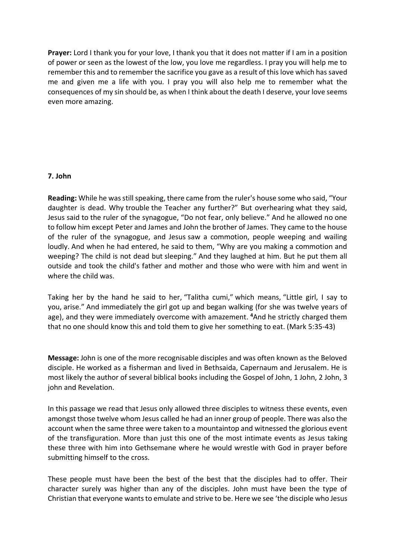**Prayer:** Lord I thank you for your love, I thank you that it does not matter if I am in a position of power or seen as the lowest of the low, you love me regardless. I pray you will help me to remember this and to remember the sacrifice you gave as a result of this love which has saved me and given me a life with you. I pray you will also help me to remember what the consequences of my sin should be, as when I think about the death I deserve, your love seems even more amazing.

### **7. John**

**Reading:** While he was still speaking, there came from the ruler's house some who said, "Your daughter is dead. Why trouble the Teacher any further?" But overhearing what they said, Jesus said to the ruler of the synagogue, "Do not fear, only believe." And he allowed no one to follow him except Peter and James and John the brother of James. They came to the house of the ruler of the synagogue, and Jesus saw a commotion, people weeping and wailing loudly. And when he had entered, he said to them, "Why are you making a commotion and weeping? The child is not dead but sleeping." And they laughed at him. But he put them all outside and took the child's father and mother and those who were with him and went in where the child was.

Taking her by the hand he said to her, "Talitha cumi," which means, "Little girl, I say to you, arise." And immediately the girl got up and began walking (for she was twelve years of age), and they were immediately overcome with amazement. **<sup>4</sup>**And he strictly charged them that no one should know this and told them to give her something to eat. (Mark 5:35-43)

**Message:** John is one of the more recognisable disciples and was often known as the Beloved disciple. He worked as a fisherman and lived in Bethsaida, Capernaum and Jerusalem. He is most likely the author of several biblical books including the Gospel of John, 1 John, 2 John, 3 john and Revelation.

In this passage we read that Jesus only allowed three disciples to witness these events, even amongst those twelve whom Jesus called he had an inner group of people. There was also the account when the same three were taken to a mountaintop and witnessed the glorious event of the transfiguration. More than just this one of the most intimate events as Jesus taking these three with him into Gethsemane where he would wrestle with God in prayer before submitting himself to the cross.

These people must have been the best of the best that the disciples had to offer. Their character surely was higher than any of the disciples. John must have been the type of Christian that everyone wants to emulate and strive to be. Here we see 'the disciple who Jesus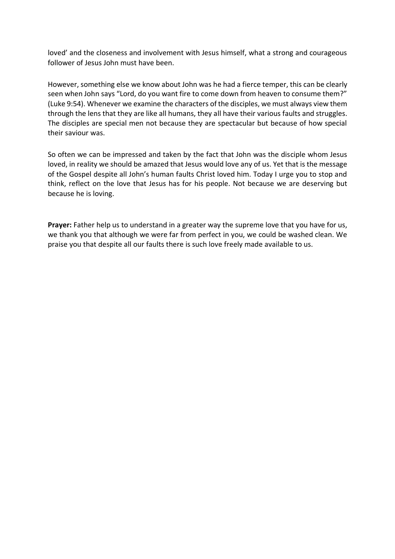loved' and the closeness and involvement with Jesus himself, what a strong and courageous follower of Jesus John must have been.

However, something else we know about John was he had a fierce temper, this can be clearly seen when John says "Lord, do you want fire to come down from heaven to consume them?" (Luke 9:54). Whenever we examine the characters of the disciples, we must always view them through the lens that they are like all humans, they all have their various faults and struggles. The disciples are special men not because they are spectacular but because of how special their saviour was.

So often we can be impressed and taken by the fact that John was the disciple whom Jesus loved, in reality we should be amazed that Jesus would love any of us. Yet that is the message of the Gospel despite all John's human faults Christ loved him. Today I urge you to stop and think, reflect on the love that Jesus has for his people. Not because we are deserving but because he is loving.

**Prayer:** Father help us to understand in a greater way the supreme love that you have for us, we thank you that although we were far from perfect in you, we could be washed clean. We praise you that despite all our faults there is such love freely made available to us.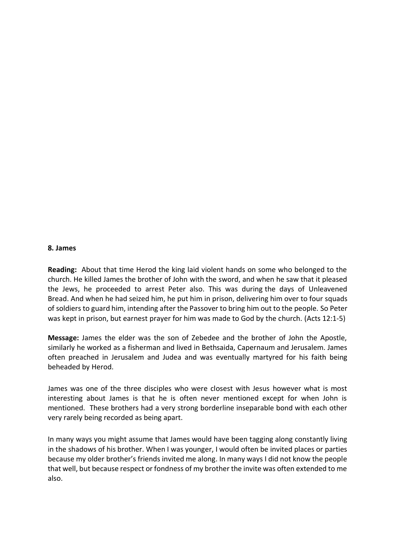#### **8. James**

**Reading:** About that time Herod the king laid violent hands on some who belonged to the church. He killed James the brother of John with the sword, and when he saw that it pleased the Jews, he proceeded to arrest Peter also. This was during the days of Unleavened Bread. And when he had seized him, he put him in prison, delivering him over to four squads of soldiers to guard him, intending after the Passover to bring him out to the people. So Peter was kept in prison, but earnest prayer for him was made to God by the church. (Acts 12:1-5)

**Message:** James the elder was the son of Zebedee and the brother of John the Apostle, similarly he worked as a fisherman and lived in Bethsaida, Capernaum and Jerusalem. James often preached in Jerusalem and Judea and was eventually martyred for his faith being beheaded by Herod.

James was one of the three disciples who were closest with Jesus however what is most interesting about James is that he is often never mentioned except for when John is mentioned. These brothers had a very strong borderline inseparable bond with each other very rarely being recorded as being apart.

In many ways you might assume that James would have been tagging along constantly living in the shadows of his brother. When I was younger, I would often be invited places or parties because my older brother's friends invited me along. In many ways I did not know the people that well, but because respect or fondness of my brother the invite was often extended to me also.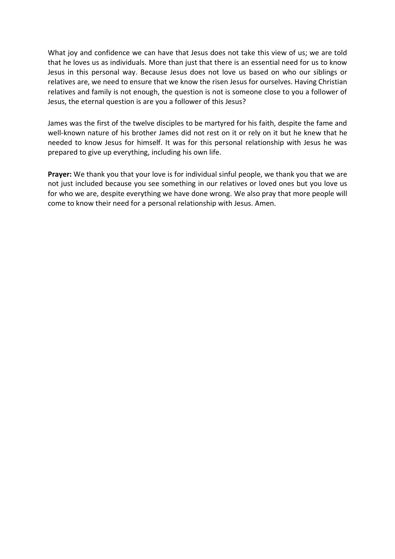What joy and confidence we can have that Jesus does not take this view of us; we are told that he loves us as individuals. More than just that there is an essential need for us to know Jesus in this personal way. Because Jesus does not love us based on who our siblings or relatives are, we need to ensure that we know the risen Jesus for ourselves. Having Christian relatives and family is not enough, the question is not is someone close to you a follower of Jesus, the eternal question is are you a follower of this Jesus?

James was the first of the twelve disciples to be martyred for his faith, despite the fame and well-known nature of his brother James did not rest on it or rely on it but he knew that he needed to know Jesus for himself. It was for this personal relationship with Jesus he was prepared to give up everything, including his own life.

**Prayer:** We thank you that your love is for individual sinful people, we thank you that we are not just included because you see something in our relatives or loved ones but you love us for who we are, despite everything we have done wrong. We also pray that more people will come to know their need for a personal relationship with Jesus. Amen.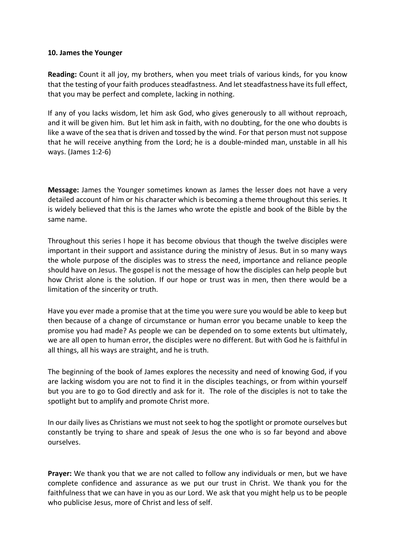### **10. James the Younger**

**Reading:** Count it all joy, my brothers, when you meet trials of various kinds, for you know that the testing of your faith produces steadfastness. And let steadfastness have its full effect, that you may be perfect and complete, lacking in nothing.

If any of you lacks wisdom, let him ask God, who gives generously to all without reproach, and it will be given him. But let him ask in faith, with no doubting, for the one who doubts is like a wave of the sea that is driven and tossed by the wind. For that person must not suppose that he will receive anything from the Lord; he is a double-minded man, unstable in all his ways. (James 1:2-6)

**Message:** James the Younger sometimes known as James the lesser does not have a very detailed account of him or his character which is becoming a theme throughout this series. It is widely believed that this is the James who wrote the epistle and book of the Bible by the same name.

Throughout this series I hope it has become obvious that though the twelve disciples were important in their support and assistance during the ministry of Jesus. But in so many ways the whole purpose of the disciples was to stress the need, importance and reliance people should have on Jesus. The gospel is not the message of how the disciples can help people but how Christ alone is the solution. If our hope or trust was in men, then there would be a limitation of the sincerity or truth.

Have you ever made a promise that at the time you were sure you would be able to keep but then because of a change of circumstance or human error you became unable to keep the promise you had made? As people we can be depended on to some extents but ultimately, we are all open to human error, the disciples were no different. But with God he is faithful in all things, all his ways are straight, and he is truth.

The beginning of the book of James explores the necessity and need of knowing God, if you are lacking wisdom you are not to find it in the disciples teachings, or from within yourself but you are to go to God directly and ask for it. The role of the disciples is not to take the spotlight but to amplify and promote Christ more.

In our daily lives as Christians we must not seek to hog the spotlight or promote ourselves but constantly be trying to share and speak of Jesus the one who is so far beyond and above ourselves.

**Prayer:** We thank you that we are not called to follow any individuals or men, but we have complete confidence and assurance as we put our trust in Christ. We thank you for the faithfulness that we can have in you as our Lord. We ask that you might help us to be people who publicise Jesus, more of Christ and less of self.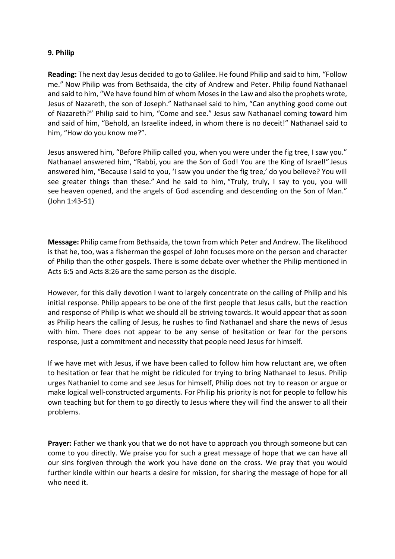# **9. Philip**

**Reading:** The next day Jesus decided to go to Galilee. He found Philip and said to him, "Follow me." Now Philip was from Bethsaida, the city of Andrew and Peter. Philip found Nathanael and said to him, "We have found him of whom Moses in the Law and also the prophets wrote, Jesus of Nazareth, the son of Joseph." Nathanael said to him, "Can anything good come out of Nazareth?" Philip said to him, "Come and see." Jesus saw Nathanael coming toward him and said of him, "Behold, an Israelite indeed, in whom there is no deceit!" Nathanael said to him, "How do you know me?".

Jesus answered him, "Before Philip called you, when you were under the fig tree, I saw you." Nathanael answered him, "Rabbi, you are the Son of God! You are the King of Israel!" Jesus answered him, "Because I said to you, 'I saw you under the fig tree,' do you believe? You will see greater things than these." And he said to him, "Truly, truly, I say to you, you will see heaven opened, and the angels of God ascending and descending on the Son of Man." (John 1:43-51)

**Message:** Philip came from Bethsaida, the town from which Peter and Andrew. The likelihood is that he, too, was a fisherman the gospel of John focuses more on the person and character of Philip than the other gospels. There is some debate over whether the Philip mentioned in Acts 6:5 and Acts 8:26 are the same person as the disciple.

However, for this daily devotion I want to largely concentrate on the calling of Philip and his initial response. Philip appears to be one of the first people that Jesus calls, but the reaction and response of Philip is what we should all be striving towards. It would appear that as soon as Philip hears the calling of Jesus, he rushes to find Nathanael and share the news of Jesus with him. There does not appear to be any sense of hesitation or fear for the persons response, just a commitment and necessity that people need Jesus for himself.

If we have met with Jesus, if we have been called to follow him how reluctant are, we often to hesitation or fear that he might be ridiculed for trying to bring Nathanael to Jesus. Philip urges Nathaniel to come and see Jesus for himself, Philip does not try to reason or argue or make logical well-constructed arguments. For Philip his priority is not for people to follow his own teaching but for them to go directly to Jesus where they will find the answer to all their problems.

**Prayer:** Father we thank you that we do not have to approach you through someone but can come to you directly. We praise you for such a great message of hope that we can have all our sins forgiven through the work you have done on the cross. We pray that you would further kindle within our hearts a desire for mission, for sharing the message of hope for all who need it.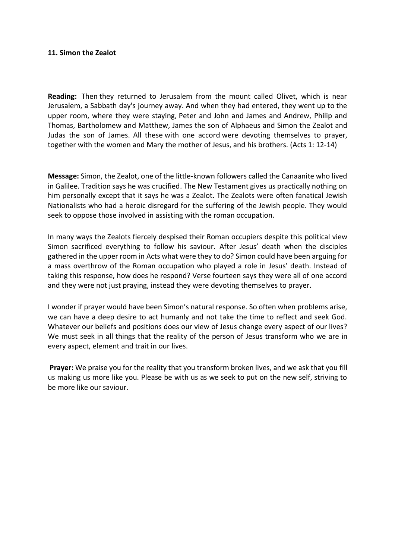### **11. Simon the Zealot**

**Reading:** Then they returned to Jerusalem from the mount called Olivet, which is near Jerusalem, a Sabbath day's journey away. And when they had entered, they went up to the upper room, where they were staying, Peter and John and James and Andrew, Philip and Thomas, Bartholomew and Matthew, James the son of Alphaeus and Simon the Zealot and Judas the son of James. All these with one accord were devoting themselves to prayer, together with the women and Mary the mother of Jesus, and his brothers. (Acts 1: 12-14)

**Message:** Simon, the Zealot, one of the little-known followers called the Canaanite who lived in Galilee. Tradition says he was crucified. The New Testament gives us practically nothing on him personally except that it says he was a Zealot. The Zealots were often fanatical Jewish Nationalists who had a heroic disregard for the suffering of the Jewish people. They would seek to oppose those involved in assisting with the roman occupation.

In many ways the Zealots fiercely despised their Roman occupiers despite this political view Simon sacrificed everything to follow his saviour. After Jesus' death when the disciples gathered in the upper room in Acts what were they to do? Simon could have been arguing for a mass overthrow of the Roman occupation who played a role in Jesus' death. Instead of taking this response, how does he respond? Verse fourteen says they were all of one accord and they were not just praying, instead they were devoting themselves to prayer.

I wonder if prayer would have been Simon's natural response. So often when problems arise, we can have a deep desire to act humanly and not take the time to reflect and seek God. Whatever our beliefs and positions does our view of Jesus change every aspect of our lives? We must seek in all things that the reality of the person of Jesus transform who we are in every aspect, element and trait in our lives.

**Prayer:** We praise you for the reality that you transform broken lives, and we ask that you fill us making us more like you. Please be with us as we seek to put on the new self, striving to be more like our saviour.